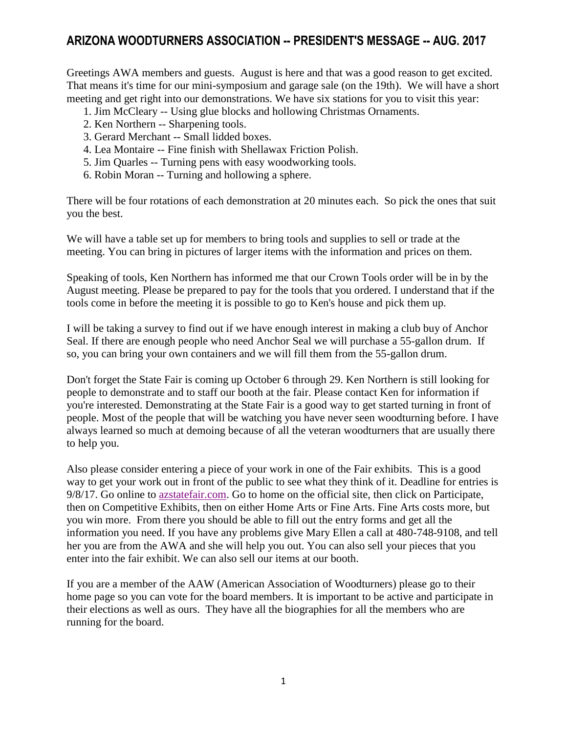## **ARIZONA WOODTURNERS ASSOCIATION -- PRESIDENT'S MESSAGE -- AUG. 2017**

Greetings AWA members and guests. August is here and that was a good reason to get excited. That means it's time for our mini-symposium and garage sale (on the 19th). We will have a short meeting and get right into our demonstrations. We have six stations for you to visit this year:

- 1. Jim McCleary -- Using glue blocks and hollowing Christmas Ornaments.
- 2. Ken Northern -- Sharpening tools.
- 3. Gerard Merchant -- Small lidded boxes.
- 4. Lea Montaire -- Fine finish with Shellawax Friction Polish.
- 5. Jim Quarles -- Turning pens with easy woodworking tools.
- 6. Robin Moran -- Turning and hollowing a sphere.

There will be four rotations of each demonstration at 20 minutes each. So pick the ones that suit you the best.

We will have a table set up for members to bring tools and supplies to sell or trade at the meeting. You can bring in pictures of larger items with the information and prices on them.

Speaking of tools, Ken Northern has informed me that our Crown Tools order will be in by the August meeting. Please be prepared to pay for the tools that you ordered. I understand that if the tools come in before the meeting it is possible to go to Ken's house and pick them up.

I will be taking a survey to find out if we have enough interest in making a club buy of Anchor Seal. If there are enough people who need Anchor Seal we will purchase a 55-gallon drum. If so, you can bring your own containers and we will fill them from the 55-gallon drum.

Don't forget the State Fair is coming up October 6 through 29. Ken Northern is still looking for people to demonstrate and to staff our booth at the fair. Please contact Ken for information if you're interested. Demonstrating at the State Fair is a good way to get started turning in front of people. Most of the people that will be watching you have never seen woodturning before. I have always learned so much at demoing because of all the veteran woodturners that are usually there to help you.

Also please consider entering a piece of your work in one of the Fair exhibits. This is a good way to get your work out in front of the public to see what they think of it. Deadline for entries is 9/8/17. Go online to [azstatefair.com.](https://azstatefair.com/) Go to home on the official site, then click on Participate, then on Competitive Exhibits, then on either Home Arts or Fine Arts. Fine Arts costs more, but you win more. From there you should be able to fill out the entry forms and get all the information you need. If you have any problems give Mary Ellen a call at 480-748-9108, and tell her you are from the AWA and she will help you out. You can also sell your pieces that you enter into the fair exhibit. We can also sell our items at our booth.

If you are a member of the AAW (American Association of Woodturners) please go to their home page so you can vote for the board members. It is important to be active and participate in their elections as well as ours. They have all the biographies for all the members who are running for the board.